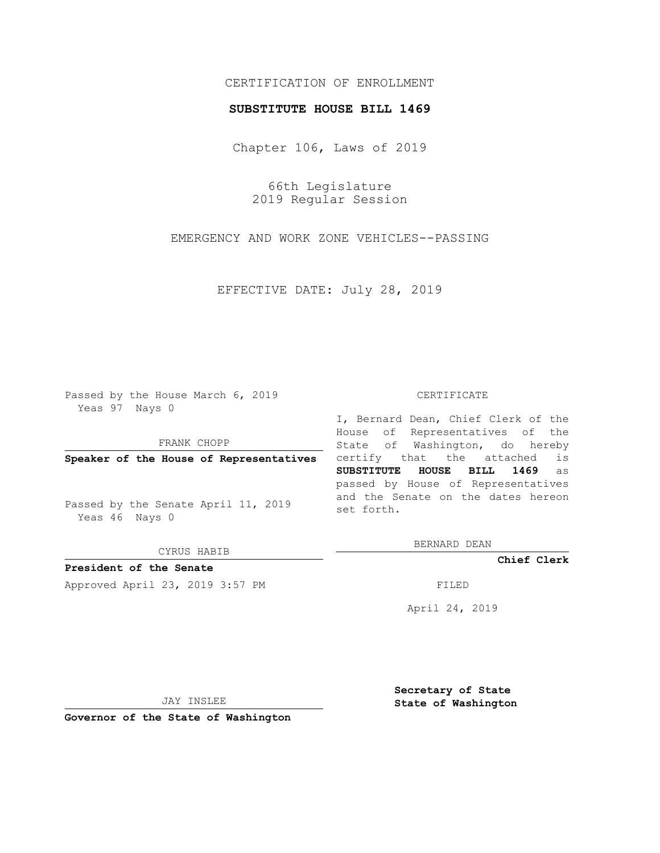## CERTIFICATION OF ENROLLMENT

## **SUBSTITUTE HOUSE BILL 1469**

Chapter 106, Laws of 2019

66th Legislature 2019 Regular Session

EMERGENCY AND WORK ZONE VEHICLES--PASSING

EFFECTIVE DATE: July 28, 2019

Passed by the House March 6, 2019 Yeas 97 Nays 0

FRANK CHOPP

**Speaker of the House of Representatives**

Passed by the Senate April 11, 2019 Yeas 46 Nays 0

CYRUS HABIB

**President of the Senate**

Approved April 23, 2019 3:57 PM FILED

## CERTIFICATE

I, Bernard Dean, Chief Clerk of the House of Representatives of the State of Washington, do hereby certify that the attached is **SUBSTITUTE HOUSE BILL 1469** as passed by House of Representatives and the Senate on the dates hereon set forth.

BERNARD DEAN

**Chief Clerk**

April 24, 2019

JAY INSLEE

**Governor of the State of Washington**

**Secretary of State State of Washington**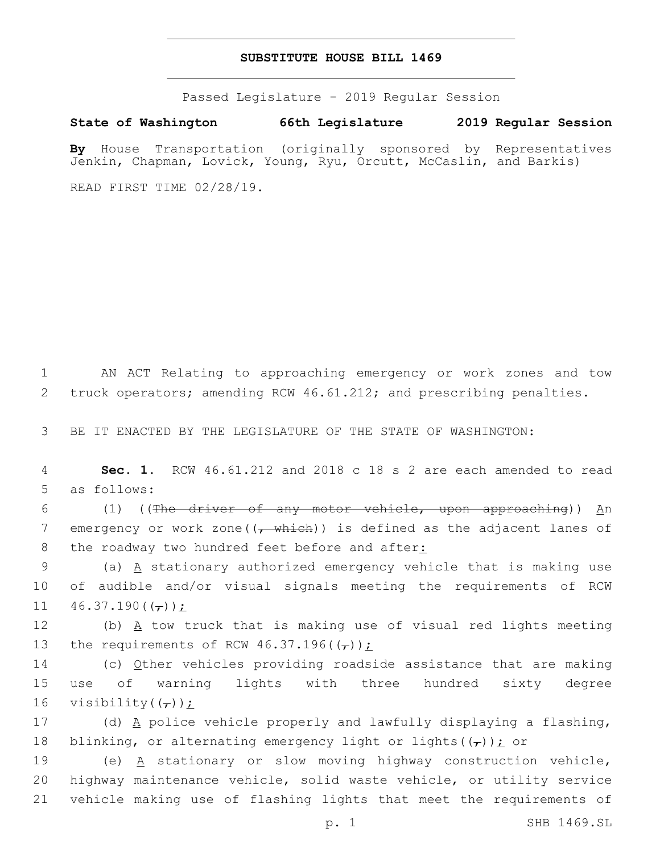## **SUBSTITUTE HOUSE BILL 1469**

Passed Legislature - 2019 Regular Session

**State of Washington 66th Legislature 2019 Regular Session**

**By** House Transportation (originally sponsored by Representatives Jenkin, Chapman, Lovick, Young, Ryu, Orcutt, McCaslin, and Barkis)

READ FIRST TIME 02/28/19.

1 AN ACT Relating to approaching emergency or work zones and tow 2 truck operators; amending RCW 46.61.212; and prescribing penalties.

3 BE IT ENACTED BY THE LEGISLATURE OF THE STATE OF WASHINGTON:

4 **Sec. 1.** RCW 46.61.212 and 2018 c 18 s 2 are each amended to read 5 as follows:

6 (1) ((The driver of any motor vehicle, upon approaching)) An 7 emergency or work zone  $((\tau \text{ which}))$  is defined as the adjacent lanes of 8 the roadway two hundred feet before and after:

9 (a) A stationary authorized emergency vehicle that is making use 10 of audible and/or visual signals meeting the requirements of RCW 11  $46.37.190((\tau));$ 

12 (b)  $\underline{A}$  tow truck that is making use of visual red lights meeting 13 the requirements of RCW  $46.37.196(\frac{\tau}{\tau})$   $\frac{\tau}{\tau}$ 

14 (c) Other vehicles providing roadside assistance that are making 15 use of warning lights with three hundred sixty degree 16 visibility $((\tau))$  *i* 

17 (d)  $\underline{A}$  police vehicle properly and lawfully displaying a flashing, 18 blinking, or alternating emergency light or lights( $(\tau)$ ); or

19  $($ e)  $\overline{A}$  stationary or slow moving highway construction vehicle, 20 highway maintenance vehicle, solid waste vehicle, or utility service 21 vehicle making use of flashing lights that meet the requirements of

p. 1 SHB 1469.SL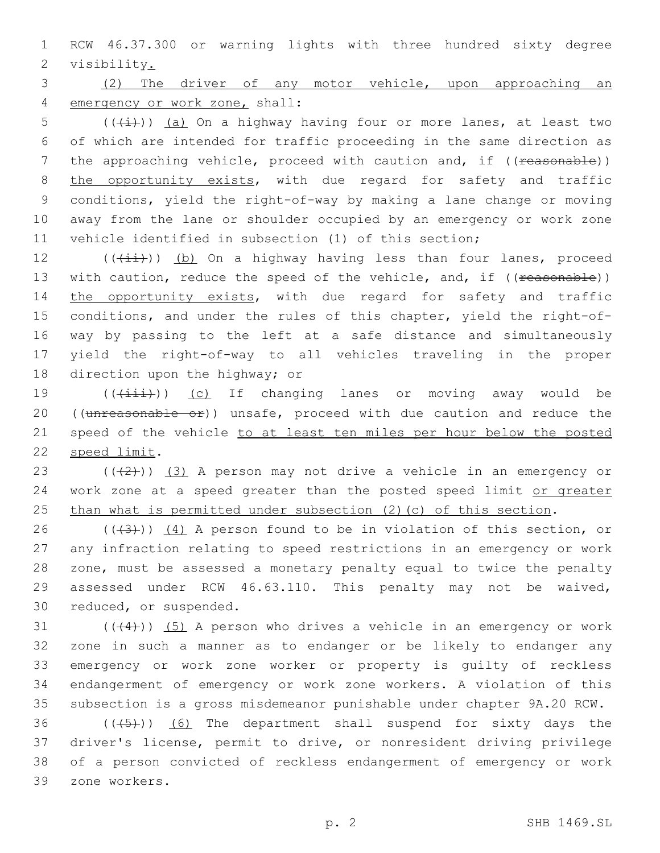1 RCW 46.37.300 or warning lights with three hundred sixty degree 2 visibility.

3 (2) The driver of any motor vehicle, upon approaching an 4 emergency or work zone, shall:

 (( $\overline{(+i)}$ )) (a) On a highway having four or more lanes, at least two of which are intended for traffic proceeding in the same direction as 7 the approaching vehicle, proceed with caution and, if ((reasonable)) 8 the opportunity exists, with due regard for safety and traffic conditions, yield the right-of-way by making a lane change or moving away from the lane or shoulder occupied by an emergency or work zone vehicle identified in subsection (1) of this section;

12  $((\overrightarrow{ii}))$  (b) On a highway having less than four lanes, proceed 13 with caution, reduce the speed of the vehicle, and, if ((reasonable)) 14 the opportunity exists, with due regard for safety and traffic 15 conditions, and under the rules of this chapter, yield the right-of-16 way by passing to the left at a safe distance and simultaneously 17 yield the right-of-way to all vehicles traveling in the proper 18 direction upon the highway; or

19 (( $(i+1+i)$ ) (c) If changing lanes or moving away would be 20 ((unreasonable or)) unsafe, proceed with due caution and reduce the 21 speed of the vehicle to at least ten miles per hour below the posted 22 speed limit.

23  $((+2+))$   $(3)$  A person may not drive a vehicle in an emergency or 24 work zone at a speed greater than the posted speed limit or greater 25 than what is permitted under subsection (2)(c) of this section.

 $((+3+))$   $(4)$  A person found to be in violation of this section, or any infraction relating to speed restrictions in an emergency or work zone, must be assessed a monetary penalty equal to twice the penalty assessed under RCW 46.63.110. This penalty may not be waived, 30 reduced, or suspended.

 $((44))$   $(5)$  A person who drives a vehicle in an emergency or work zone in such a manner as to endanger or be likely to endanger any emergency or work zone worker or property is guilty of reckless endangerment of emergency or work zone workers. A violation of this subsection is a gross misdemeanor punishable under chapter 9A.20 RCW.

36 (((45))) (6) The department shall suspend for sixty days the 37 driver's license, permit to drive, or nonresident driving privilege 38 of a person convicted of reckless endangerment of emergency or work zone workers.39